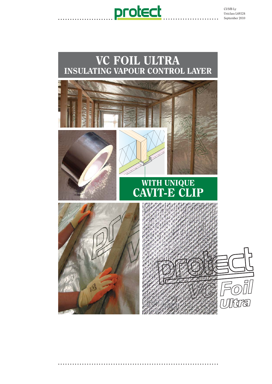





**...................................................................**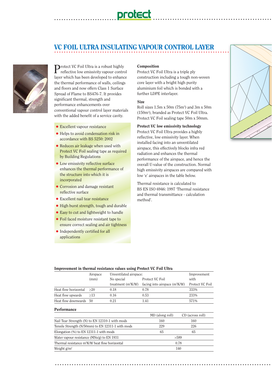# **VC FOIL ULTRA INSULATING VAPOUR CONTROL LAYER**

**protect** 



**D**rotect VC Foil Ultra is a robust highly reflective low emissivity vapour control layer which has been developed to enhance the thermal performance of walls, ceilings and floors and now offers Class 1 Surface Spread of Flame to BS476-7. It provides significant thermal, strength and performance enhancements over conventional vapour control layer materials with the added benefit of a service cavity.

**..........................**

- Excellent vapour resistance
- Helps to avoid condensation risk in accordance with BS 5250: 2002
- Reduces air leakage when used with Protect VC Foil sealing tape as required by Building Regulations
- Low emissivity reflective surface enhances the thermal performance of the structure into which it is incorporated
- Corrosion and damage resistant reflective surface
- Excellent nail tear resistance
- High burst strength, tough and durable
- Easy to cut and lightweight to handle
- Foil faced moisture resistant tape to ensure correct sealing and air tightness
- Independently certified for all applications

#### Composition

Protect VC Foil Ultra is a triple ply construction including a tough non-woven core layer with a bright high purity aluminium foil which is bonded with a further LDPE interlayer.

**.................................................**

#### Size

Roll sizes 1.5m x 50m (75m<sup>2</sup>) and 3m x 50m (150m2 ), branded as Protect VC Foil Ultra. Protect VC Foil sealing tape 50m x 50mm.

#### Protect VC low emissivity technology

Protect VC Foil Ultra provides a highly reflective, low emissivity layer. When installed facing into an unventilated airspace, this effectively blocks infra red radiation and enhances the thermal performance of the airspace, and hence the overall U-value of the construction. Normal high emissivity airspaces are compared with low 'e' airspaces in the table below.

Thermal resistance is calculated to BS EN ISO 6946: 1997 'Thermal resistance and thermal transmittance - calculation method'.



#### Improvement in thermal resistance values using Protect VC Foil Ultra

|                        | Airspace | Unventilated airspace: | Improvement                     |                 |
|------------------------|----------|------------------------|---------------------------------|-----------------|
|                        | (mm)     | No special             | with                            |                 |
|                        |          | treatment $(m^2K/W)$   | facing into airspace $(m^2K/W)$ | Protect VC Foil |
| Heat flow horizontal   | >20      | 0.18                   | 0.78                            | 333%            |
| Heat flow upwards      | >13      | 0.16                   | 0.53                            | 233%            |
| Heat flow downwards 50 |          | 0.21                   | 1.41                            | 571%            |
|                        |          |                        |                                 |                 |

#### **Performance**

|                                                                    | MD (along roll) | CD (across roll) |  |
|--------------------------------------------------------------------|-----------------|------------------|--|
| Nail Tear Strength (N) to EN 12310-1 with mods                     | 160             | 160              |  |
| Tensile Strength (N/50mm) to EN 12311-1 with mods                  | 229             | 226              |  |
| Elongation $(\%)$ to EN 12311-1 with mods                          | 65              | 65               |  |
| Water vapour resistance (MNs/g) to EN 1931                         | >589            |                  |  |
| Thermal resistance m <sup>2</sup> K/W heat flow horizontal<br>0.78 |                 |                  |  |
| Weight $g/m^2$                                                     | 140             |                  |  |

**...........................................................................................**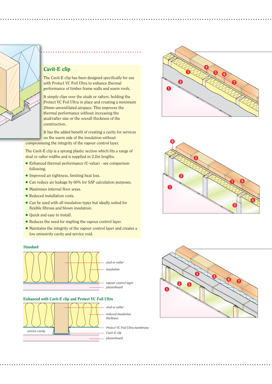

# Cavit-E clip

The Cavit-E clip has been designed specifically for use with Protect VC Foil Ultra to enhance thermal performance of timber frame walls and warm roofs.

**................................................................................................................**

It simply clips over the studs or rafters, holding the Protect VC Foil Ultra in place and creating a minimum 20mm unventilated airspace. This improves the thermal performance without increasing the stud/rafter size or the overall thickness of the construction.

It has the added benefit of creating a cavity for services on the warm side of the insulation without

compromising the integrity of the vapour control layer.

The Cavit-E clip is a sprung plastic section which fits a range of stud or rafter widths and is supplied in 2.2m lengths.

- Enhanced thermal performance (U-value) see comparison following.
- Improved air tightness, limiting heat loss.
- Can reduce air leakage by 60% for SAP calculation purposes.
- Maximises internal floor areas.
- Reduced installation costs.
- Can be used with all insulation types but ideally suited for flexible fibrous and blown insulation.
- Quick and easy to install.
- Reduces the need for stapling the vapour control layer.
- Maintains the integrity of the vapour control layer and creates a low emissivity cavity and service void.

#### **Standard**



#### Enhanced with Cavit-E clip and Protect VC Foil Ultra



- *reduced insulation*
- *Protect VC Foil Ultra membrane*

**..................................................................................................................**





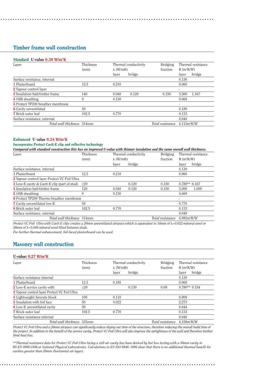## Timber frame wall construction

| Layer                                 | Thickness |                  | Thermal conductivity | Bridging         |                           | Thermal resistance |  |
|---------------------------------------|-----------|------------------|----------------------|------------------|---------------------------|--------------------|--|
|                                       | (mm)      | $\lambda$ (W/mK) |                      | fraction         | $R(m^2K/W)$               |                    |  |
|                                       |           | laver            | bridge               |                  | laver                     | bridge             |  |
| Surface resistance, internal          |           |                  |                      |                  | 0.130                     |                    |  |
| 1 Plasterboard                        | 12.5      | 0.210            |                      |                  | 0.060                     |                    |  |
| 2 Vapour control laver                |           |                  |                      |                  | ٠                         |                    |  |
| <b>3</b> Insulation batt/timber frame | 140       | 0.040            | 0.120                | 0.150            | 3.500                     | 1.167              |  |
| 4 OSB sheathing                       | 9         | 0.130            |                      |                  | 0.069                     |                    |  |
| 5 Protect TF200 breather membrane     |           |                  |                      |                  | $\overline{\phantom{0}}$  |                    |  |
| <b>6</b> Cavity unventilated          | 50        |                  |                      |                  | 0.180                     |                    |  |
| <b>7</b> Brick outer leaf             | 102.5     | 0.770            |                      |                  | 0.133                     |                    |  |
| Surface resistance, external          |           |                  |                      |                  | 0.040                     |                    |  |
| Total wall thickness 314mm            |           |                  |                      | Total resistance | $4.112m$ <sup>2</sup> K/W |                    |  |

**........................................................................................**

#### Enhanced U value 0.24 W/m<sup>2</sup>K

# Incorporates Protect Cavit-E clip and reflective technology<br>Compared with atoms of construction that has an in

| Compared with standard construction this has an improved U-value with thinner insulation and the same overall wall thickness. |           |       |                      |                  |                    |        |             |  |
|-------------------------------------------------------------------------------------------------------------------------------|-----------|-------|----------------------|------------------|--------------------|--------|-------------|--|
| Laver                                                                                                                         | Thickness |       | Thermal conductivity | Bridging         | Thermal resistance |        |             |  |
|                                                                                                                               | (mm)      |       | $\lambda$ (W/mK)     |                  | fraction           |        | $R(m^2K/W)$ |  |
|                                                                                                                               |           | laver | bridge               |                  | laver              | bridge |             |  |
| Surface resistance, internal                                                                                                  |           |       |                      |                  | 0.130              |        |             |  |
| 1 Plasterboard                                                                                                                | 12.5      | 0.210 |                      |                  | 0.060              |        |             |  |
| 2 Vapour control layer Protect VC Foil Ultra                                                                                  |           |       |                      |                  | -                  |        |             |  |
| <b>3</b> Low-E cavity & Cavit-E clip (part of stud)                                                                           | >20       |       | 0.120                | 0.150            | $0.780**0.167$     |        |             |  |
| 4 Insulation batt/timber frame                                                                                                | 120       | 0.040 | 0.120                | 0.150            | 3.000              | 1.000  |             |  |
| <b>5</b> OSB sheathing                                                                                                        | 9         | 0.130 |                      |                  | 0.069              |        |             |  |
| <b>6</b> Protect TF200 Thermo breather membrane                                                                               |           |       |                      |                  | ٠                  |        |             |  |
| <b>7</b> Cavity unventilated low-E                                                                                            | 50        |       |                      |                  | 0.770              |        |             |  |
| <b>8</b> Brick outer leaf                                                                                                     | 102.5     | 0.770 |                      |                  | 0.133              |        |             |  |
| Surface resistance, external                                                                                                  |           |       |                      |                  | 0.040              |        |             |  |
| Total wall thickness 314mm                                                                                                    |           |       |                      | Total resistance | $4.982m^2K/W$      |        |             |  |

Protect VC Foil Ultra with Cavit-E clips creates a 20mm unventilated airspace which is equivalent to 34mm of *N=0.032 mineral wool or* 38mm of  $\lambda$ =0.040 mineral wool fitted between studs.

*For further thermal enhancement, foil-faced plasterboard can be used.*

# Masonry wall construction

#### U-value: 0.27 W/m<sup>2</sup>K

| Laver                                               | Thickness<br>(mm) | Thermal conductivity<br>$\lambda$ (W/mK) | Bridging<br>fraction | Thermal resistance<br>$R(m^2K/W)$ |  |  |
|-----------------------------------------------------|-------------------|------------------------------------------|----------------------|-----------------------------------|--|--|
|                                                     |                   | bridge<br>laver                          |                      | bridge<br>laver                   |  |  |
| Surface resistance internal                         |                   |                                          |                      | 0.130                             |  |  |
| 1 Plasterboard                                      | 12.5              | 0.185                                    |                      | 0.068                             |  |  |
| <b>2</b> Low-E service cavity with                  | >20               | 0.130                                    | 0.08                 | $0.780**0.154$                    |  |  |
| <b>3</b> Vapour control layer Protect VC Foil Ultra |                   |                                          |                      |                                   |  |  |
| 4 Lightweight Aircrete block                        | 100               | 0.110                                    |                      | 0.909                             |  |  |
| <b>5</b> Insulation with foil face                  | 50                | 0.022                                    |                      | 2.273                             |  |  |
| <b>6</b> Low-E unventilated cavity                  | 50                |                                          |                      | 0.644                             |  |  |
| <b>7</b> Brick outer leaf                           | 102.5             | 0.770                                    |                      | 0.133                             |  |  |
| Surface resistance external                         |                   |                                          |                      | 0.040                             |  |  |
| Total wall thickness 335mm                          |                   |                                          | Total resistance     | 4.158m <sup>2</sup> K/W           |  |  |

*Protect VC Foil Ultra and a 20mm airspace can significantly reduce drying out time of the structure, therefore reducing the overall build time of the project. In addition to the benefit of the service cavity, Protect VC Foil Ultra will also improve the airtightness of the wall and therefore further limit heat loss.*

*\*\*Thermal resistance data for Protect VC Foil Ultra facing a still air cavity has been derived by hot box testing with a 50mm cavity to BS EN 8990:1996 at National Physical Laboratories. Calculations to EN ISO 6946: 1996 show that there is no additional thermal benefit for cavities greater than 20mm (horizontal air layer).*

**..........................................................................................**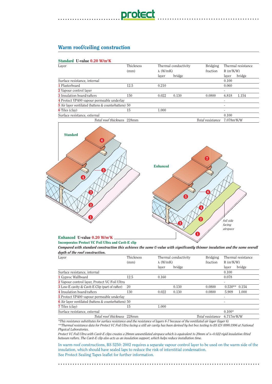# Warm roof/ceiling construction

### Standard U-value 0.20 W/m<sup>2</sup>K

| Laver                                                       | Thickness | Thermal conductivity<br>$\lambda$ (W/mK) |        | Bridging         |                          | Thermal resistance |
|-------------------------------------------------------------|-----------|------------------------------------------|--------|------------------|--------------------------|--------------------|
|                                                             | (mm)      |                                          |        | fraction         | $R(m^2K/W)$              |                    |
|                                                             |           | laver                                    | bridge |                  | laver                    | bridge             |
| Surface resistance, internal                                |           |                                          |        |                  | 0.100                    |                    |
| 1 Plasterboard                                              | 12.5      | 0.210                                    |        |                  | 0.060                    |                    |
| 2 Vapour control layer                                      |           |                                          |        |                  | $\overline{\phantom{a}}$ |                    |
| <b>3</b> Insulation board/rafters                           | 150       | 0.022                                    | 0.130  | 0.0800           | 6.818                    | 1.154              |
| 4 Protect VP400 vapour permeable underlay                   |           |                                          |        |                  | $\overline{\phantom{a}}$ |                    |
| <b>5</b> Air layer ventilated (battens & counterbattens) 50 |           |                                          |        |                  | $\overline{\phantom{a}}$ |                    |
| <b>6</b> Tiles (clay)                                       | 15        | 1.000                                    |        |                  | ۰                        |                    |
| Surface resistance, external                                |           |                                          |        |                  | 0.100                    |                    |
| Total roof thickness 228mm                                  |           |                                          |        | Total resistance | 7.078m²K/W               |                    |

**..........................................**



#### Enhanced U-value 0.20 W/m<sup>2</sup>K

Incorporates Protect VC Foil Ultra and Cavit-E clip

*Compared with standard construction this achieves the same U-value with significantly thinner insulation and the same overall depth of the roof construction.*

| Laver                                                       | Thickness | Thermal conductivity<br>$\lambda$ (W/mK) |        | <b>Bridging</b>  | Thermal resistance |  |
|-------------------------------------------------------------|-----------|------------------------------------------|--------|------------------|--------------------|--|
|                                                             | (mm)      |                                          |        | fraction         | $R(m^2K/W)$        |  |
|                                                             |           | laver                                    | bridge |                  | bridge<br>laver    |  |
| Surface resistance, internal                                |           |                                          |        |                  | 0.100              |  |
| 1 Gyproc Wallboard                                          | 12.5      | 0.160                                    |        |                  | 0.078              |  |
| 2 Vapour control layer, Protect VC Foil Ultra               |           |                                          |        |                  |                    |  |
| <b>3</b> Low-E cavity & Cavit-E Clip (part of rafter)       | 20        |                                          | 0.130  | 0.0800           | $0.530**$<br>0.154 |  |
| 4 Insulation board/rafters                                  | 130       | 0.022                                    | 0.130  | 0.0800           | 5.909<br>1.000     |  |
| 5 Protect VP400 vapour permeable underlay                   |           |                                          |        |                  |                    |  |
| <b>6</b> Air layer ventilated (battens & counterbattens) 50 |           |                                          |        |                  |                    |  |
| <b>7</b> Tiles (clay)                                       | 15        | 1.000                                    |        |                  |                    |  |
| Surface resistance, external                                |           |                                          |        |                  | $0.100*$           |  |
| Total roof thickness 228mm                                  |           |                                          |        | Total resistance | $6.717m^2K/W$      |  |

*\*This resistance substitutes for surface resistance and the resistance of layers 6-7 because of the ventilated air layer (layer 6) \*\*Thermal resistance data for Protect VC Foil Ultra facing a still air cavity has been derived by hot box testing to BS EN 8990:1996 at National Physical Laboratories.*

*Protect VC Foil Ultra with Cavit-E clips creates a 20mm unventilated airspace which is equivalent to 20mm of* -*=0.022 rigid insulation fitted between rafters. The Cavit-E clip also acts as an insulation support, which helps reduce installation time.*

In warm roof constructions, BS 5250: 2002 requires a separate vapour control layer to be used on the warm side of the insulation, which should have sealed laps to reduce the risk of interstitial condensation. See Protect Sealing Tapes leaflet for further information.

**....................................................................................**